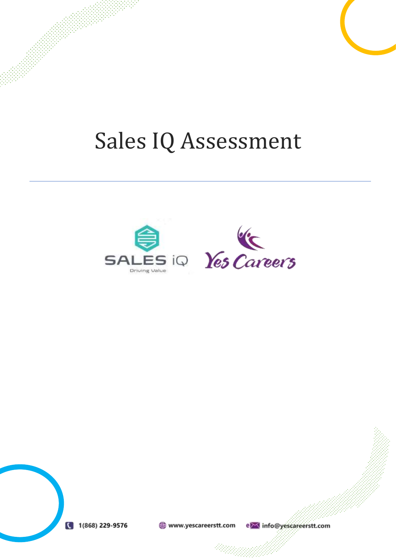## Sales IQ Assessment





www.yescareerstt.com e> info@yescareerstt.com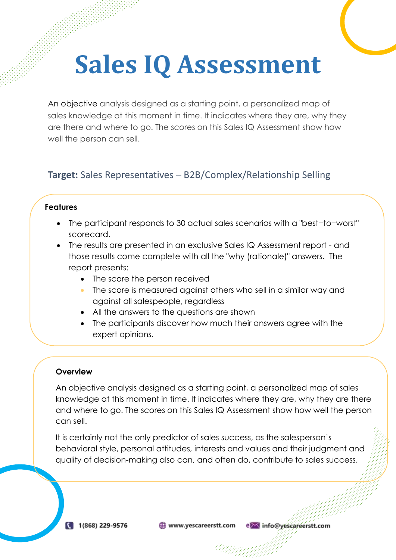# **Sales IQ Assessment**

An objective analysis designed as a starting point, a personalized map of sales knowledge at this moment in time. It indicates where they are, why they are there and where to go. The scores on this Sales IQ Assessment show how well the person can sell.

### **Target:** Sales Representatives – B2B/Complex/Relationship Selling

#### **Features**

- The participant responds to 30 actual sales scenarios with a "best−to−worst" scorecard.
- The results are presented in an exclusive Sales IQ Assessment report and those results come complete with all the "why (rationale)" answers. The report presents:
	- The score the person received
	- The score is measured against others who sell in a similar way and against all salespeople, regardless
	- All the answers to the questions are shown
	- The participants discover how much their answers agree with the expert opinions.

that are valuable for the determination Improvement plans  $\mathcal{L}_{\mathcal{A}}$ 

#### **Overview**

areas and training and training and training and training and training and training and training and training

An objective analysis designed as a starting point, a personalized map of sales knowledge at this moment in time. It indicates where they are, why they are there and where to go. The scores on this Sales IQ Assessment show how well the person can sell.

It is certainly not the only predictor of sales success, as the salesperson's behavioral style, personal attitudes, interests and values and their judgment and quality of decision-making also can, and often do, contribute to sales success.

www.yescareerstt.com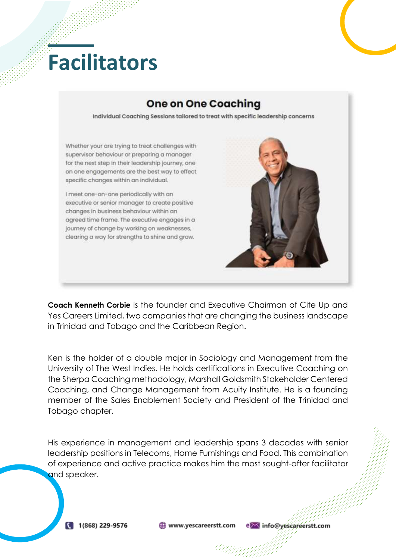## **Facilitators**

### **One on One Coaching**

Individual Coachina Sessions tailored to treat with specific leadership concerns



**Coach Kenneth Corbie** is the founder and Executive Chairman of Cite Up and Yes Careers Limited, two companies that are changing the business landscape in Trinidad and Tobago and the Caribbean Region.

Ken is the holder of a double major in Sociology and Management from the University of The West Indies. He holds certifications in Executive Coaching on the Sherpa Coaching methodology, Marshall Goldsmith Stakeholder Centered Coaching, and Change Management from Acuity Institute. He is a founding member of the Sales Enablement Society and President of the Trinidad and Tobago chapter.

His experience in management and leadership spans 3 decades with senior leadership positions in Telecoms, Home Furnishings and Food. This combination of experience and active practice makes him the most sought-after facilitator and speaker.

www.yescareerstt.com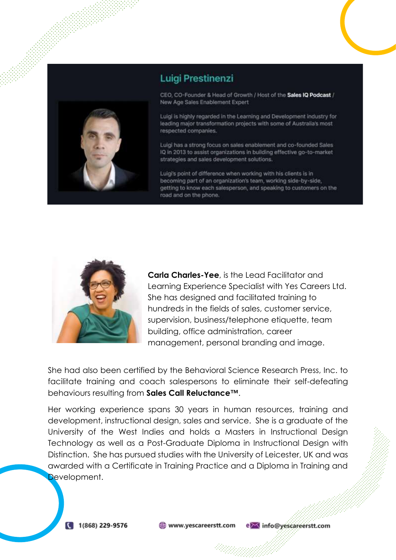

#### **Luigi Prestinenzi**

CEO, CO-Founder & Head of Growth / Host of the Sales IQ Podcast / New Age Sales Enablement Expert

Luigi is highly regarded in the Learning and Development industry for leading major transformation projects with some of Australia's most respected companies.

Luigi has a strong focus on sales enablement and co-founded Sales IQ in 2013 to assist organizations in building effective go-to-market strategies and sales development solutions.

Luigi's point of difference when working with his clients is in becoming part of an organization's team, working side-by-side, getting to know each salesperson, and speaking to customers on the road and on the phone.



**Carla Charles-Yee**, is the Lead Facilitator and Learning Experience Specialist with Yes Careers Ltd. She has designed and facilitated training to hundreds in the fields of sales, customer service, supervision, business/telephone etiquette, team building, office administration, career management, personal branding and image.

She had also been certified by the Behavioral Science Research Press, Inc. to facilitate training and coach salespersons to eliminate their self-defeating behaviours resulting from **Sales Call Reluctance™**.

Her working experience spans 30 years in human resources, training and development, instructional design, sales and service. She is a graduate of the University of the West Indies and holds a Masters in Instructional Design Technology as well as a Post-Graduate Diploma in Instructional Design with Distinction. She has pursued studies with the University of Leicester, UK and was awarded with a Certificate in Training Practice and a Diploma in Training and Development.

www.yescareerstt.com